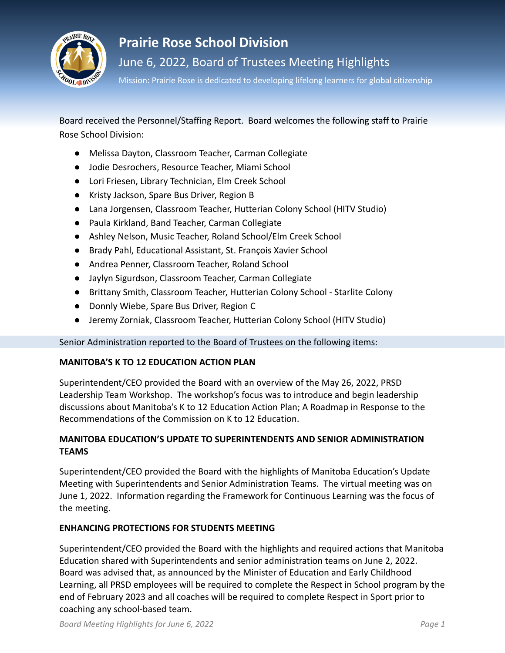

# **Prairie Rose School Division**

June 6, 2022, Board of Trustees Meeting Highlights

Mission: Prairie Rose is dedicated to developing lifelong learners for global citizenship

Board received the Personnel/Staffing Report. Board welcomes the following staff to Prairie Rose School Division:

- Melissa Dayton, Classroom Teacher, Carman Collegiate
- Jodie Desrochers, Resource Teacher, Miami School
- Lori Friesen, Library Technician, Elm Creek School
- Kristy Jackson, Spare Bus Driver, Region B
- Lana Jorgensen, Classroom Teacher, Hutterian Colony School (HITV Studio)
- Paula Kirkland, Band Teacher, Carman Collegiate
- Ashley Nelson, Music Teacher, Roland School/Elm Creek School
- Brady Pahl, Educational Assistant, St. François Xavier School
- Andrea Penner, Classroom Teacher, Roland School
- Jaylyn Sigurdson, Classroom Teacher, Carman Collegiate
- Brittany Smith, Classroom Teacher, Hutterian Colony School Starlite Colony
- Donnly Wiebe, Spare Bus Driver, Region C
- Jeremy Zorniak, Classroom Teacher, Hutterian Colony School (HITV Studio)

Senior Administration reported to the Board of Trustees on the following items:

# **MANITOBA'S K TO 12 EDUCATION ACTION PLAN**

Superintendent/CEO provided the Board with an overview of the May 26, 2022, PRSD Leadership Team Workshop. The workshop's focus was to introduce and begin leadership discussions about Manitoba's K to 12 Education Action Plan; A Roadmap in Response to the Recommendations of the Commission on K to 12 Education.

# **MANITOBA EDUCATION'S UPDATE TO SUPERINTENDENTS AND SENIOR ADMINISTRATION TEAMS**

Superintendent/CEO provided the Board with the highlights of Manitoba Education's Update Meeting with Superintendents and Senior Administration Teams. The virtual meeting was on June 1, 2022. Information regarding the Framework for Continuous Learning was the focus of the meeting.

# **ENHANCING PROTECTIONS FOR STUDENTS MEETING**

Superintendent/CEO provided the Board with the highlights and required actions that Manitoba Education shared with Superintendents and senior administration teams on June 2, 2022. Board was advised that, as announced by the Minister of Education and Early Childhood Learning, all PRSD employees will be required to complete the Respect in School program by the end of February 2023 and all coaches will be required to complete Respect in Sport prior to coaching any school-based team.